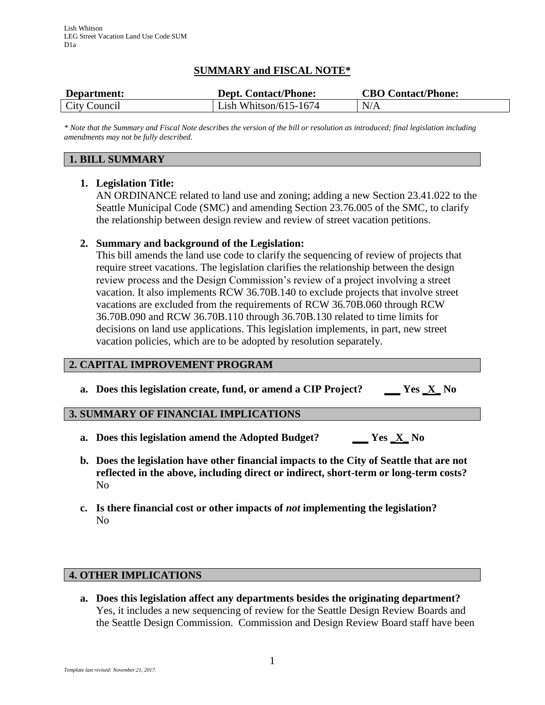## **SUMMARY and FISCAL NOTE\***

| Department:  | <b>Dept. Contact/Phone:</b> | <b>CBO Contact/Phone:</b> |
|--------------|-----------------------------|---------------------------|
| City Council | Lish Whitson/615-1674       | N/A                       |

*\* Note that the Summary and Fiscal Note describes the version of the bill or resolution as introduced; final legislation including amendments may not be fully described.*

### **1. BILL SUMMARY**

#### **1. Legislation Title:**

AN ORDINANCE related to land use and zoning; adding a new Section 23.41.022 to the Seattle Municipal Code (SMC) and amending Section 23.76.005 of the SMC, to clarify the relationship between design review and review of street vacation petitions.

### **2. Summary and background of the Legislation:**

This bill amends the land use code to clarify the sequencing of review of projects that require street vacations. The legislation clarifies the relationship between the design review process and the Design Commission's review of a project involving a street vacation. It also implements RCW 36.70B.140 to exclude projects that involve street vacations are excluded from the requirements of RCW 36.70B.060 through RCW 36.70B.090 and RCW 36.70B.110 through 36.70B.130 related to time limits for decisions on land use applications. This legislation implements, in part, new street vacation policies, which are to be adopted by resolution separately.

# **2. CAPITAL IMPROVEMENT PROGRAM**

**a. Does this legislation create, fund, or amend a CIP Project? \_\_\_ Yes \_X\_ No**

#### **3. SUMMARY OF FINANCIAL IMPLICATIONS**

- **a. Does this legislation amend the Adopted Budget? \_\_\_ Yes \_X\_ No**
- **b. Does the legislation have other financial impacts to the City of Seattle that are not reflected in the above, including direct or indirect, short-term or long-term costs?** No
- **c. Is there financial cost or other impacts of** *not* **implementing the legislation?** No

# **4. OTHER IMPLICATIONS**

**a. Does this legislation affect any departments besides the originating department?** Yes, it includes a new sequencing of review for the Seattle Design Review Boards and the Seattle Design Commission. Commission and Design Review Board staff have been